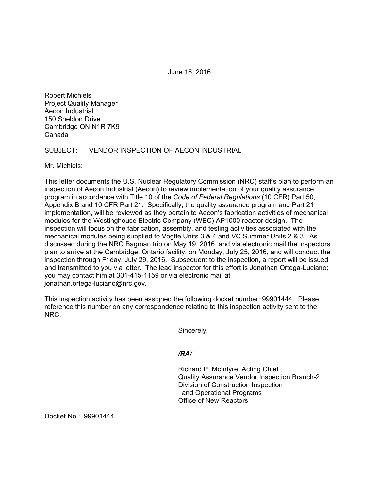June 16, 2016

Robert Michiels Project Quality Manager Aecon Industrial 150 Sheldon Drive Cambridge ON N1R 7K9 Canada

SUBJECT: VENDOR INSPECTION OF AECON INDUSTRIAL

Mr. Michiels:

This letter documents the U.S. Nuclear Regulatory Commission (NRC) staff's plan to perform an inspection of Aecon Industrial (Aecon) to review implementation of your quality assurance program in accordance with Title 10 of the *Code of Federal Regulations* (10 CFR) Part 50, Appendix B and 10 CFR Part 21. Specifically, the quality assurance program and Part 21 implementation, will be reviewed as they pertain to Aecon's fabrication activities of mechanical modules for the Westinghouse Electric Company (WEC) AP1000 reactor design. The inspection will focus on the fabrication, assembly, and testing activities associated with the mechanical modules being supplied to Vogtle Units 3 & 4 and VC Summer Units 2 & 3. As discussed during the NRC Bagman trip on May 19, 2016, and via electronic mail the inspectors plan to arrive at the Cambridge, Ontario facility, on Monday, July 25, 2016, and will conduct the inspection through Friday, July 29, 2016. Subsequent to the inspection, a report will be issued and transmitted to you via letter. The lead inspector for this effort is Jonathan Ortega-Luciano; you may contact him at 301-415-1159 or via electronic mail at jonathan.ortega-luciano@nrc.gov.

This inspection activity has been assigned the following docket number: 99901444. Please reference this number on any correspondence relating to this inspection activity sent to the NRC.

Sincerely,

## */RA/*

Richard P. McIntyre, Acting Chief Quality Assurance Vendor Inspection Branch-2 Division of Construction Inspection and Operational Programs Office of New Reactors

Docket No.: 99901444